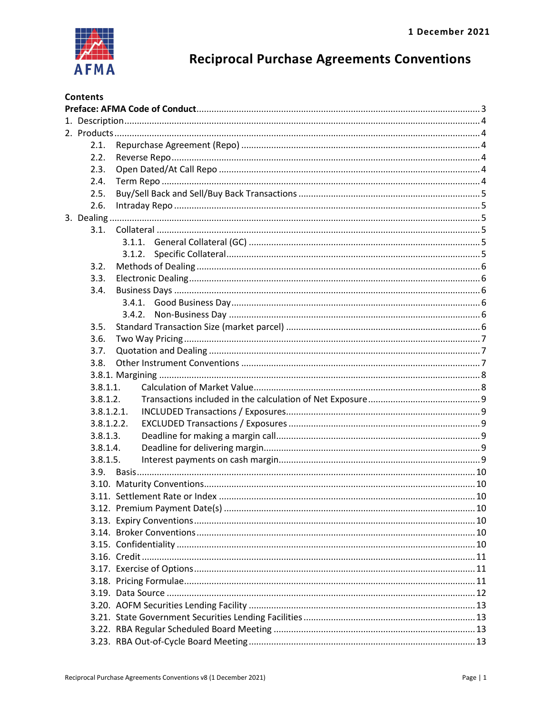

# **Reciprocal Purchase Agreements Conventions**

| <b>Contents</b> |                                                                                                                 |  |
|-----------------|-----------------------------------------------------------------------------------------------------------------|--|
|                 |                                                                                                                 |  |
|                 |                                                                                                                 |  |
|                 |                                                                                                                 |  |
| 2.1.            |                                                                                                                 |  |
| 2.2.            |                                                                                                                 |  |
| 2.3.            |                                                                                                                 |  |
| 2.4.            |                                                                                                                 |  |
| 2.5.            |                                                                                                                 |  |
| 2.6.            |                                                                                                                 |  |
|                 |                                                                                                                 |  |
| 3.1.            |                                                                                                                 |  |
|                 |                                                                                                                 |  |
|                 |                                                                                                                 |  |
| 3.2.            |                                                                                                                 |  |
| 3.3.            |                                                                                                                 |  |
| 3.4.            |                                                                                                                 |  |
|                 |                                                                                                                 |  |
|                 |                                                                                                                 |  |
| 3.5.            |                                                                                                                 |  |
| 3.6.            |                                                                                                                 |  |
| 3.7.            |                                                                                                                 |  |
| 3.8.            |                                                                                                                 |  |
|                 |                                                                                                                 |  |
| 3.8.1.1.        |                                                                                                                 |  |
| 3.8.1.2.        |                                                                                                                 |  |
|                 | 28121 INCLUDED Transactions / Evrocures (Santa Company of Company of Company of Company of Company of Company o |  |

| 3.8.        |  |  |
|-------------|--|--|
|             |  |  |
| $3.8.1.1$ . |  |  |
| 3.8.1.2.    |  |  |
| 3.8.1.2.1.  |  |  |
| 3.8.1.2.2.  |  |  |
| 3.8.1.3.    |  |  |
| 3.8.1.4.    |  |  |
| 3.8.1.5.    |  |  |
|             |  |  |
|             |  |  |
|             |  |  |
|             |  |  |
|             |  |  |
|             |  |  |
|             |  |  |
|             |  |  |
|             |  |  |
|             |  |  |
|             |  |  |
|             |  |  |
|             |  |  |
|             |  |  |
|             |  |  |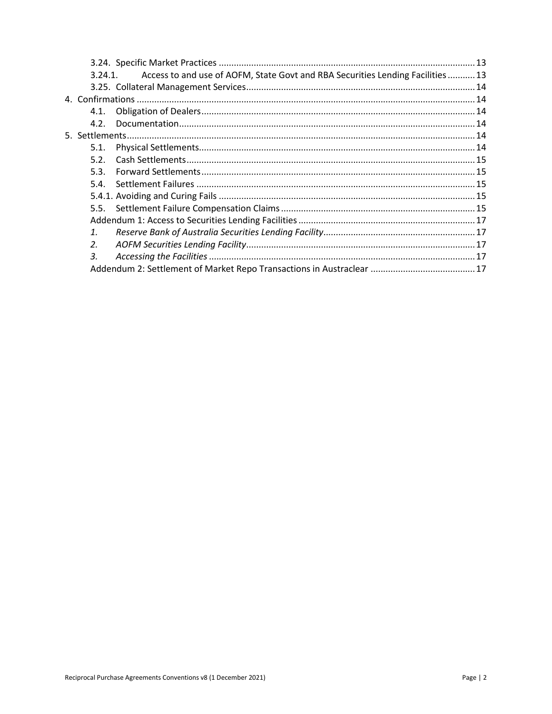|                       | Access to and use of AOFM, State Govt and RBA Securities Lending Facilities 13<br>3.24.1 |  |
|-----------------------|------------------------------------------------------------------------------------------|--|
|                       |                                                                                          |  |
|                       |                                                                                          |  |
| 4.1.                  |                                                                                          |  |
| 4.2.                  |                                                                                          |  |
|                       |                                                                                          |  |
| 5.1.                  |                                                                                          |  |
| 5.2.                  |                                                                                          |  |
| 5.3.                  |                                                                                          |  |
|                       |                                                                                          |  |
|                       |                                                                                          |  |
|                       |                                                                                          |  |
|                       |                                                                                          |  |
| $\mathbf{1}$ .        |                                                                                          |  |
| $\mathcal{P}_{\cdot}$ |                                                                                          |  |
| $\overline{3}$ .      |                                                                                          |  |
|                       |                                                                                          |  |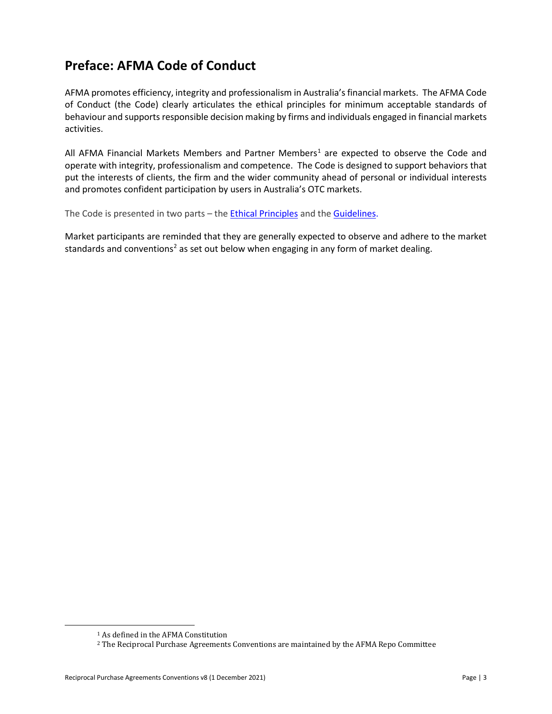# <span id="page-2-0"></span>**Preface: AFMA Code of Conduct**

AFMA promotes efficiency, integrity and professionalism in Australia's financial markets. The AFMA Code of Conduct (the Code) clearly articulates the ethical principles for minimum acceptable standards of behaviour and supports responsible decision making by firms and individuals engaged in financial markets activities.

All AFMA Financial Markets Members and Partner Members<sup>1</sup> are expected to observe the Code and operate with integrity, professionalism and competence. The Code is designed to support behaviors that put the interests of clients, the firm and the wider community ahead of personal or individual interests and promotes confident participation by users in Australia's OTC markets.

The Code is presented in two parts – the [Ethical Principles](http://www.afma.com.au/afmawr/_assets/main/LIB90010/Code%20of%20Conduct%20-%20ETHICAL%20PRINCIPLES.pdf) and the [Guidelines.](http://www.afma.com.au/afmawr/_assets/main/LIB90010/Code%20of%20Conduct%20-%20GUIDELINES.pdf)

Market participants are reminded that they are generally expected to observe and adhere to the market standards and conventions<sup>[2](#page-2-2)</sup> as set out below when engaging in any form of market dealing.

<sup>1</sup> As defined in the AFMA Constitution

<span id="page-2-2"></span><span id="page-2-1"></span><sup>2</sup> The Reciprocal Purchase Agreements Conventions are maintained by the AFMA Repo Committee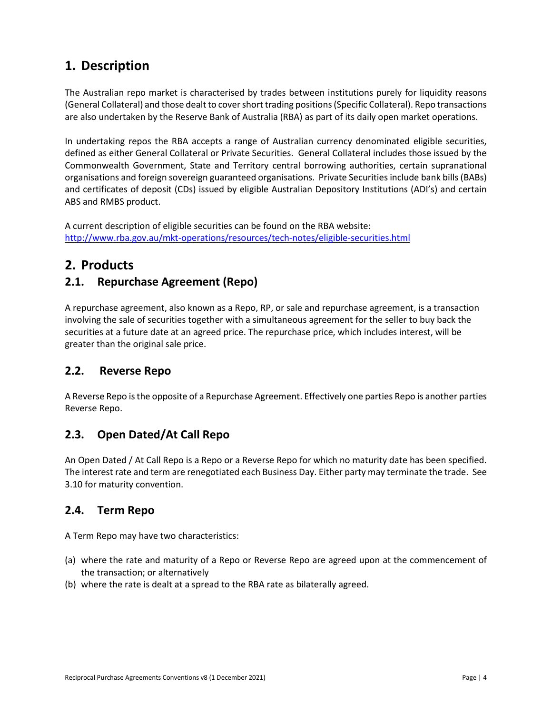# <span id="page-3-0"></span>**1. Description**

The Australian repo market is characterised by trades between institutions purely for liquidity reasons (General Collateral) and those dealt to cover short trading positions(Specific Collateral). Repo transactions are also undertaken by the Reserve Bank of Australia (RBA) as part of its daily open market operations.

In undertaking repos the RBA accepts a range of Australian currency denominated eligible securities, defined as either General Collateral or Private Securities. General Collateral includes those issued by the Commonwealth Government, State and Territory central borrowing authorities, certain supranational organisations and foreign sovereign guaranteed organisations. Private Securities include bank bills (BABs) and certificates of deposit (CDs) issued by eligible Australian Depository Institutions (ADI's) and certain ABS and RMBS product.

A current description of eligible securities can be found on the RBA website: <http://www.rba.gov.au/mkt-operations/resources/tech-notes/eligible-securities.html>

# <span id="page-3-1"></span>**2. Products**

# <span id="page-3-2"></span>**2.1. Repurchase Agreement (Repo)**

A repurchase agreement, also known as a Repo, RP, or sale and repurchase agreement, is a transaction involving the sale of securities together with a simultaneous agreement for the seller to buy back the securities at a future date at an agreed price. The repurchase price, which includes interest, will be greater than the original sale price.

# <span id="page-3-3"></span>**2.2. Reverse Repo**

A Reverse Repo is the opposite of a Repurchase Agreement. Effectively one parties Repo is another parties Reverse Repo.

# <span id="page-3-4"></span>**2.3. Open Dated/At Call Repo**

An Open Dated / At Call Repo is a Repo or a Reverse Repo for which no maturity date has been specified. The interest rate and term are renegotiated each Business Day. Either party may terminate the trade. See 3.10 for maturity convention.

# <span id="page-3-5"></span>**2.4. Term Repo**

A Term Repo may have two characteristics:

- (a) where the rate and maturity of a Repo or Reverse Repo are agreed upon at the commencement of the transaction; or alternatively
- (b) where the rate is dealt at a spread to the RBA rate as bilaterally agreed.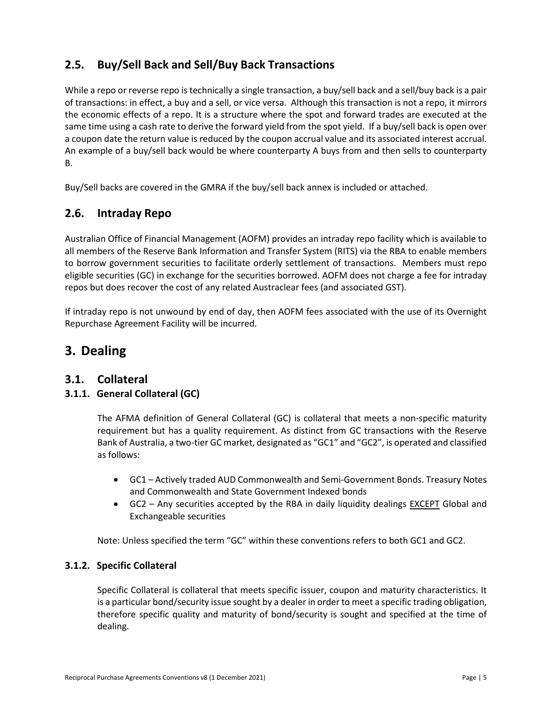# <span id="page-4-0"></span>**2.5. Buy/Sell Back and Sell/Buy Back Transactions**

While a repo or reverse repo is technically a single transaction, a buy/sell back and a sell/buy back is a pair of transactions: in effect, a buy and a sell, or vice versa. Although this transaction is not a repo, it mirrors the economic effects of a repo. It is a structure where the spot and forward trades are executed at the same time using a cash rate to derive the forward yield from the spot yield. If a buy/sell back is open over a coupon date the return value is reduced by the coupon accrual value and its associated interest accrual. An example of a buy/sell back would be where counterparty A buys from and then sells to counterparty B.

Buy/Sell backs are covered in the GMRA if the buy/sell back annex is included or attached.

# <span id="page-4-1"></span>**2.6. Intraday Repo**

Australian Office of Financial Management (AOFM) provides an intraday repo facility which is available to all members of the Reserve Bank Information and Transfer System (RITS) via the RBA to enable members to borrow government securities to facilitate orderly settlement of transactions. Members must repo eligible securities (GC) in exchange for the securities borrowed. AOFM does not charge a fee for intraday repos but does recover the cost of any related Austraclear fees (and associated GST).

If intraday repo is not unwound by end of day, then AOFM fees associated with the use of its Overnight Repurchase Agreement Facility will be incurred.

# <span id="page-4-2"></span>**3. Dealing**

### <span id="page-4-3"></span>**3.1. Collateral**

### <span id="page-4-4"></span>**3.1.1. General Collateral (GC)**

The AFMA definition of General Collateral (GC) is collateral that meets a non-specific maturity requirement but has a quality requirement. As distinct from GC transactions with the Reserve Bank of Australia, a two-tier GC market, designated as "GC1" and "GC2", is operated and classified as follows:

- GC1 Actively traded AUD Commonwealth and Semi-Government Bonds. Treasury Notes and Commonwealth and State Government Indexed bonds
- GC2 Any securities accepted by the RBA in daily liquidity dealings EXCEPT Global and Exchangeable securities

Note: Unless specified the term "GC" within these conventions refers to both GC1 and GC2.

#### <span id="page-4-5"></span>**3.1.2. Specific Collateral**

Specific Collateral is collateral that meets specific issuer, coupon and maturity characteristics. It is a particular bond/security issue sought by a dealer in order to meet a specific trading obligation, therefore specific quality and maturity of bond/security is sought and specified at the time of dealing.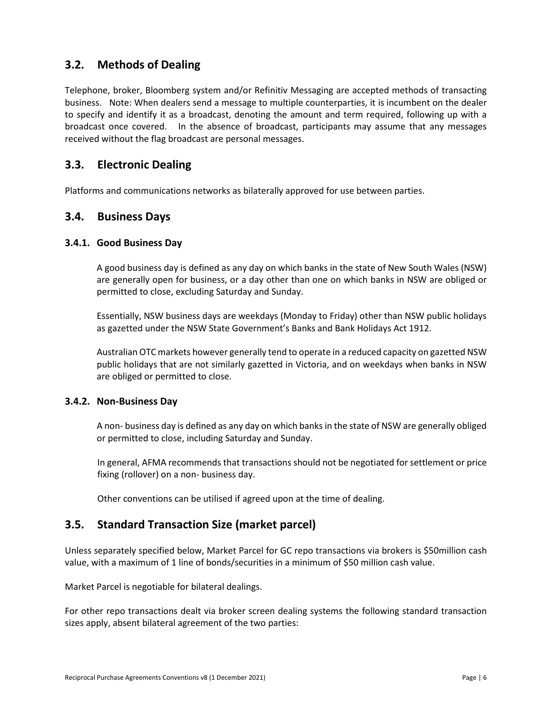# <span id="page-5-0"></span>**3.2. Methods of Dealing**

Telephone, broker, Bloomberg system and/or Refinitiv Messaging are accepted methods of transacting business. Note: When dealers send a message to multiple counterparties, it is incumbent on the dealer to specify and identify it as a broadcast, denoting the amount and term required, following up with a broadcast once covered. In the absence of broadcast, participants may assume that any messages received without the flag broadcast are personal messages.

## <span id="page-5-1"></span>**3.3. Electronic Dealing**

Platforms and communications networks as bilaterally approved for use between parties.

### <span id="page-5-2"></span>**3.4. Business Days**

#### <span id="page-5-3"></span>**3.4.1. Good Business Day**

A good business day is defined as any day on which banks in the state of New South Wales (NSW) are generally open for business, or a day other than one on which banks in NSW are obliged or permitted to close, excluding Saturday and Sunday.

Essentially, NSW business days are weekdays (Monday to Friday) other than NSW public holidays as gazetted under the NSW State Government's Banks and Bank Holidays Act 1912.

Australian OTC markets however generally tend to operate in a reduced capacity on gazetted NSW public holidays that are not similarly gazetted in Victoria, and on weekdays when banks in NSW are obliged or permitted to close.

#### <span id="page-5-4"></span>**3.4.2. Non-Business Day**

A non- business day is defined as any day on which banks in the state of NSW are generally obliged or permitted to close, including Saturday and Sunday.

In general, AFMA recommends that transactions should not be negotiated for settlement or price fixing (rollover) on a non- business day.

Other conventions can be utilised if agreed upon at the time of dealing.

# <span id="page-5-5"></span>**3.5. Standard Transaction Size (market parcel)**

Unless separately specified below, Market Parcel for GC repo transactions via brokers is \$50million cash value, with a maximum of 1 line of bonds/securities in a minimum of \$50 million cash value.

Market Parcel is negotiable for bilateral dealings.

For other repo transactions dealt via broker screen dealing systems the following standard transaction sizes apply, absent bilateral agreement of the two parties: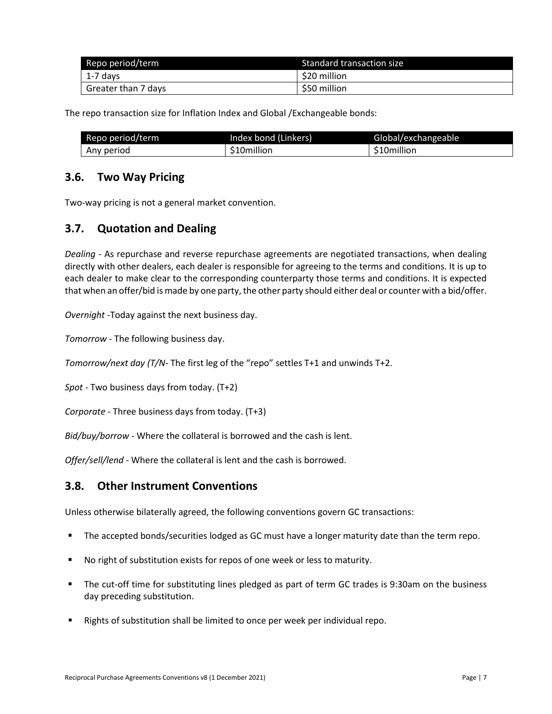| Repo period/term    | Standard transaction size |  |
|---------------------|---------------------------|--|
| 1-7 days            | \$20 million              |  |
| Greater than 7 days | \$50 million              |  |

The repo transaction size for Inflation Index and Global /Exchangeable bonds:

| Repo period/term | Index bond (Linkers) | Global/exchangeable |
|------------------|----------------------|---------------------|
| Any period       | \$10million          | \$10million         |

### <span id="page-6-0"></span>**3.6. Two Way Pricing**

Two-way pricing is not a general market convention.

# <span id="page-6-1"></span>**3.7. Quotation and Dealing**

*Dealing -* As repurchase and reverse repurchase agreements are negotiated transactions, when dealing directly with other dealers, each dealer is responsible for agreeing to the terms and conditions. It is up to each dealer to make clear to the corresponding counterparty those terms and conditions. It is expected that when an offer/bid is made by one party, the other party should either deal or counter with a bid/offer.

*Overnight -*Today against the next business day.

*Tomorrow -* The following business day.

*Tomorrow/next day (T/N-* The first leg of the "repo" settles T+1 and unwinds T+2.

*Spot* - Two business days from today. (T+2)

*Corporate* - Three business days from today. (T+3)

*Bid/buy/borrow -* Where the collateral is borrowed and the cash is lent.

*Offer/sell/lend -* Where the collateral is lent and the cash is borrowed.

# <span id="page-6-2"></span>**3.8. Other Instrument Conventions**

Unless otherwise bilaterally agreed, the following conventions govern GC transactions:

- **The accepted bonds/securities lodged as GC must have a longer maturity date than the term repo.**
- No right of substitution exists for repos of one week or less to maturity.
- The cut-off time for substituting lines pledged as part of term GC trades is 9:30am on the business day preceding substitution.
- Rights of substitution shall be limited to once per week per individual repo.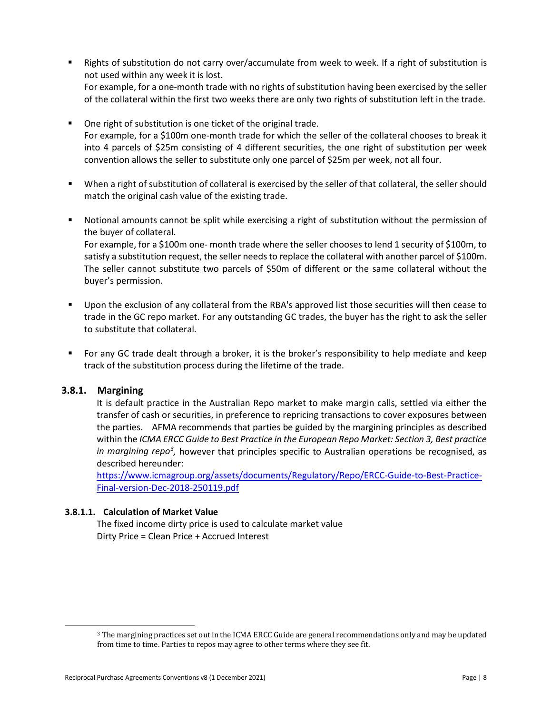- **Rights of substitution do not carry over/accumulate from week to week. If a right of substitution is** not used within any week it is lost. For example, for a one-month trade with no rights of substitution having been exercised by the seller of the collateral within the first two weeks there are only two rights of substitution left in the trade.
- One right of substitution is one ticket of the original trade. For example, for a \$100m one-month trade for which the seller of the collateral chooses to break it into 4 parcels of \$25m consisting of 4 different securities, the one right of substitution per week convention allows the seller to substitute only one parcel of \$25m per week, not all four.
- When a right of substitution of collateral is exercised by the seller of that collateral, the seller should match the original cash value of the existing trade.
- Notional amounts cannot be split while exercising a right of substitution without the permission of the buyer of collateral.

For example, for a \$100m one- month trade where the seller chooses to lend 1 security of \$100m, to satisfy a substitution request, the seller needs to replace the collateral with another parcel of \$100m. The seller cannot substitute two parcels of \$50m of different or the same collateral without the buyer's permission.

- Upon the exclusion of any collateral from the RBA's approved list those securities will then cease to trade in the GC repo market. For any outstanding GC trades, the buyer has the right to ask the seller to substitute that collateral.
- For any GC trade dealt through a broker, it is the broker's responsibility to help mediate and keep track of the substitution process during the lifetime of the trade.

#### <span id="page-7-0"></span>**3.8.1. Margining**

It is default practice in the Australian Repo market to make margin calls, settled via either the transfer of cash or securities, in preference to repricing transactions to cover exposures between the parties. AFMA recommends that parties be guided by the margining principles as described within the *[ICMA ERCC Guide to Best Practice in the European Repo Market: Section 3, Best](https://www.icmagroup.org/assets/documents/Regulatory/Repo/ERCC-Guide-to-Best-Practice-Final-version-Dec-2018-250119.pdf) practice [in margining repo](https://www.icmagroup.org/assets/documents/Regulatory/Repo/ERCC-Guide-to-Best-Practice-Final-version-Dec-2018-250119.pdf)<sup>[3](#page-7-2)</sup>*, however that principles specific to Australian operations be recognised, as described hereunder:

https://www.icmagroup.org/assets/documents/Regulatory/Repo/ERCC-Guide-to-Best-Practice-Final-version-Dec-2018-250119.pdf

#### <span id="page-7-1"></span>**3.8.1.1. Calculation of Market Value**

The fixed income dirty price is used to calculate market value Dirty Price = Clean Price + Accrued Interest

<span id="page-7-2"></span><sup>3</sup> The margining practices set out in the ICMA ERCC Guide are general recommendations only and may be updated from time to time. Parties to repos may agree to other terms where they see fit.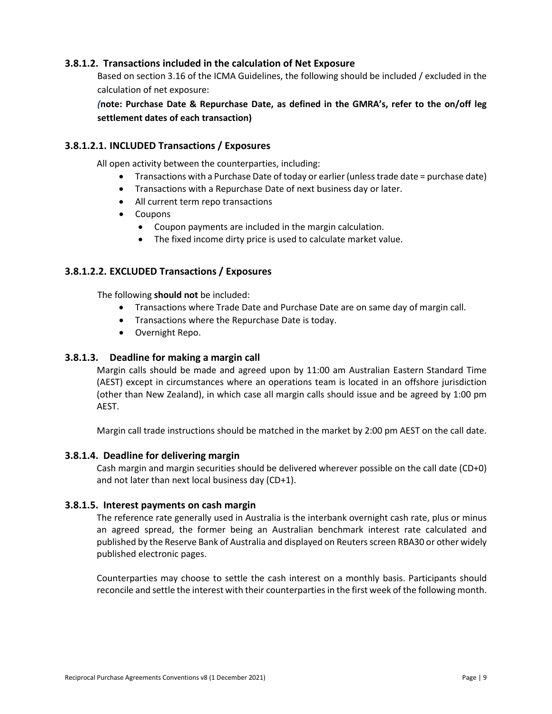#### <span id="page-8-0"></span>**3.8.1.2. Transactions included in the calculation of Net Exposure**

Based on section 3.16 of the ICMA Guidelines, the following should be included / excluded in the calculation of net exposure:

*(***note: Purchase Date & Repurchase Date, as defined in the GMRA's, refer to the on/off leg settlement dates of each transaction)** 

#### <span id="page-8-1"></span>**3.8.1.2.1. INCLUDED Transactions / Exposures**

All open activity between the counterparties, including:

- Transactions with a Purchase Date of today or earlier (unless trade date = purchase date)
- Transactions with a Repurchase Date of next business day or later.
- All current term repo transactions
- Coupons
	- Coupon payments are included in the margin calculation.
	- The fixed income dirty price is used to calculate market value.

#### <span id="page-8-2"></span>**3.8.1.2.2. EXCLUDED Transactions / Exposures**

The following **should not** be included:

- Transactions where Trade Date and Purchase Date are on same day of margin call.
- Transactions where the Repurchase Date is today.
- Overnight Repo.

#### <span id="page-8-3"></span>**3.8.1.3. Deadline for making a margin call**

Margin calls should be made and agreed upon by 11:00 am Australian Eastern Standard Time (AEST) except in circumstances where an operations team is located in an offshore jurisdiction (other than New Zealand), in which case all margin calls should issue and be agreed by 1:00 pm AEST.

Margin call trade instructions should be matched in the market by 2:00 pm AEST on the call date.

#### <span id="page-8-4"></span>**3.8.1.4. Deadline for delivering margin**

Cash margin and margin securities should be delivered wherever possible on the call date (CD+0) and not later than next local business day (CD+1).

#### <span id="page-8-5"></span>**3.8.1.5. Interest payments on cash margin**

The reference rate generally used in Australia is the interbank overnight cash rate, plus or minus an agreed spread, the former being an Australian benchmark interest rate calculated and published by the Reserve Bank of Australia and displayed on Reuters screen RBA30 or other widely published electronic pages.

Counterparties may choose to settle the cash interest on a monthly basis. Participants should reconcile and settle the interest with their counterparties in the first week of the following month.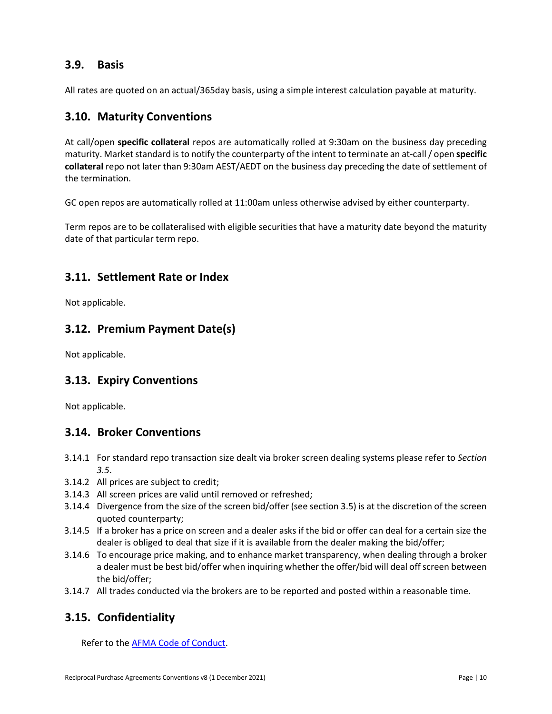## <span id="page-9-0"></span>**3.9. Basis**

All rates are quoted on an actual/365day basis, using a simple interest calculation payable at maturity.

### <span id="page-9-1"></span>**3.10. Maturity Conventions**

At call/open **specific collateral** repos are automatically rolled at 9:30am on the business day preceding maturity. Market standard is to notify the counterparty of the intent to terminate an at-call / open **specific collateral** repo not later than 9:30am AEST/AEDT on the business day preceding the date of settlement of the termination.

GC open repos are automatically rolled at 11:00am unless otherwise advised by either counterparty.

Term repos are to be collateralised with eligible securities that have a maturity date beyond the maturity date of that particular term repo.

### <span id="page-9-2"></span>**3.11. Settlement Rate or Index**

Not applicable.

### <span id="page-9-3"></span>**3.12. Premium Payment Date(s)**

Not applicable.

# <span id="page-9-4"></span>**3.13. Expiry Conventions**

Not applicable.

### <span id="page-9-5"></span>**3.14. Broker Conventions**

- 3.14.1 For standard repo transaction size dealt via broker screen dealing systems please refer to *Section 3.5*.
- 3.14.2 All prices are subject to credit;
- 3.14.3 All screen prices are valid until removed or refreshed;
- 3.14.4 Divergence from the size of the screen bid/offer (see section 3.5) is at the discretion of the screen quoted counterparty;
- 3.14.5 If a broker has a price on screen and a dealer asks if the bid or offer can deal for a certain size the dealer is obliged to deal that size if it is available from the dealer making the bid/offer;
- 3.14.6 To encourage price making, and to enhance market transparency, when dealing through a broker a dealer must be best bid/offer when inquiring whether the offer/bid will deal off screen between the bid/offer;
- 3.14.7 All trades conducted via the brokers are to be reported and posted within a reasonable time.

# <span id="page-9-6"></span>**3.15. Confidentiality**

Refer to the **AFMA Code of Conduct**.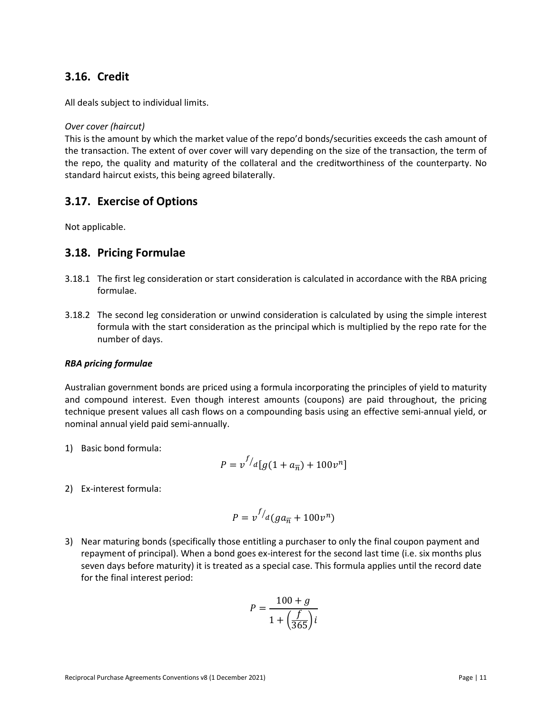## <span id="page-10-0"></span>**3.16. Credit**

All deals subject to individual limits.

#### *Over cover (haircut)*

This is the amount by which the market value of the repo'd bonds/securities exceeds the cash amount of the transaction. The extent of over cover will vary depending on the size of the transaction, the term of the repo, the quality and maturity of the collateral and the creditworthiness of the counterparty. No standard haircut exists, this being agreed bilaterally.

### <span id="page-10-1"></span>**3.17. Exercise of Options**

Not applicable.

### <span id="page-10-2"></span>**3.18. Pricing Formulae**

- 3.18.1 The first leg consideration or start consideration is calculated in accordance with the RBA pricing formulae.
- 3.18.2 The second leg consideration or unwind consideration is calculated by using the simple interest formula with the start consideration as the principal which is multiplied by the repo rate for the number of days.

#### *RBA pricing formulae*

Australian government bonds are priced using a formula incorporating the principles of yield to maturity and compound interest. Even though interest amounts (coupons) are paid throughout, the pricing technique present values all cash flows on a compounding basis using an effective semi-annual yield, or nominal annual yield paid semi-annually.

1) Basic bond formula:

$$
P = v^{f/d} [g(1 + a_{\overline{n}}) + 100v^n]
$$

2) Ex-interest formula:

$$
P = v^{f/d}(ga_{\overline{n}} + 100v^n)
$$

3) Near maturing bonds (specifically those entitling a purchaser to only the final coupon payment and repayment of principal). When a bond goes ex-interest for the second last time (i.e. six months plus seven days before maturity) it is treated as a special case. This formula applies until the record date for the final interest period:

$$
P = \frac{100 + g}{1 + \left(\frac{f}{365}\right)i}
$$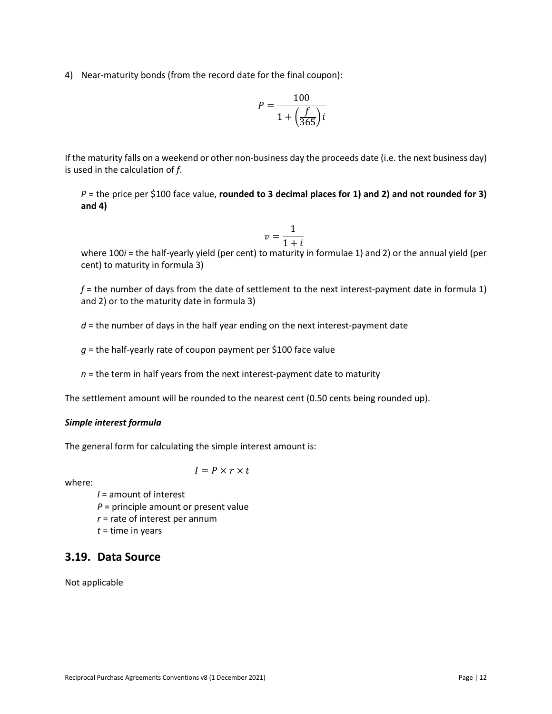4) Near-maturity bonds (from the record date for the final coupon):

$$
P = \frac{100}{1 + \left(\frac{f}{365}\right)i}
$$

If the maturity falls on a weekend or other non-business day the proceeds date (i.e. the next business day) is used in the calculation of *f*.

 $P =$  the price per \$100 face value, **rounded to 3 decimal places for 1) and 2) and not rounded for 3) and 4)**

$$
v = \frac{1}{1+i}
$$

where 100*i* = the half-yearly yield (per cent) to maturity in formulae 1) and 2) or the annual yield (per cent) to maturity in formula 3)

*f* = the number of days from the date of settlement to the next interest-payment date in formula 1) and 2) or to the maturity date in formula 3)

*d* = the number of days in the half year ending on the next interest-payment date

*g* = the half-yearly rate of coupon payment per \$100 face value

*n* = the term in half years from the next interest-payment date to maturity

The settlement amount will be rounded to the nearest cent (0.50 cents being rounded up).

#### *Simple interest formula*

The general form for calculating the simple interest amount is:

 $I = P \times r \times t$ 

where:

- *I* = amount of interest
- *P* = principle amount or present value
- *r* = rate of interest per annum
- *t* = time in years

# <span id="page-11-0"></span>**3.19. Data Source**

Not applicable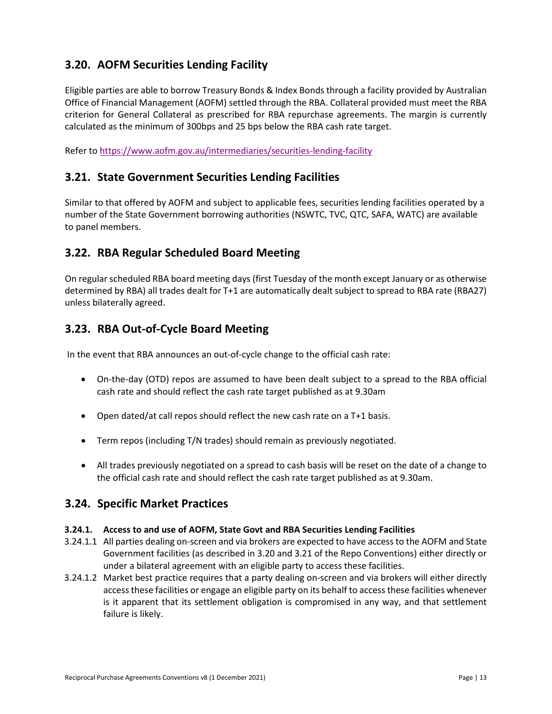# <span id="page-12-0"></span>**3.20. AOFM Securities Lending Facility**

Eligible parties are able to borrow Treasury Bonds & Index Bonds through a facility provided by Australian Office of Financial Management (AOFM) settled through the RBA. Collateral provided must meet the RBA criterion for General Collateral as prescribed for RBA repurchase agreements. The margin is currently calculated as the minimum of 300bps and 25 bps below the RBA cash rate target.

Refer t[o https://www.aofm.gov.au/intermediaries/securities-lending-facility](https://www.aofm.gov.au/intermediaries/securities-lending-facility)

### <span id="page-12-1"></span>**3.21. State Government Securities Lending Facilities**

Similar to that offered by AOFM and subject to applicable fees, securities lending facilities operated by a number of the State Government borrowing authorities (NSWTC, TVC, QTC, SAFA, WATC) are available to panel members.

# <span id="page-12-2"></span>**3.22. RBA Regular Scheduled Board Meeting**

On regular scheduled RBA board meeting days (first Tuesday of the month except January or as otherwise determined by RBA) all trades dealt for T+1 are automatically dealt subject to spread to RBA rate (RBA27) unless bilaterally agreed.

### <span id="page-12-3"></span>**3.23. RBA Out-of-Cycle Board Meeting**

In the event that RBA announces an out-of-cycle change to the official cash rate:

- On-the-day (OTD) repos are assumed to have been dealt subject to a spread to the RBA official cash rate and should reflect the cash rate target published as at 9.30am
- Open dated/at call repos should reflect the new cash rate on a T+1 basis.
- Term repos (including T/N trades) should remain as previously negotiated.
- All trades previously negotiated on a spread to cash basis will be reset on the date of a change to the official cash rate and should reflect the cash rate target published as at 9.30am.

### <span id="page-12-4"></span>**3.24. Specific Market Practices**

#### <span id="page-12-5"></span>**3.24.1. Access to and use of AOFM, State Govt and RBA Securities Lending Facilities**

- 3.24.1.1 All parties dealing on-screen and via brokers are expected to have access to the AOFM and State Government facilities (as described in 3.20 and 3.21 of the Repo Conventions) either directly or under a bilateral agreement with an eligible party to access these facilities.
- 3.24.1.2 Market best practice requires that a party dealing on-screen and via brokers will either directly access these facilities or engage an eligible party on its behalf to access these facilities whenever is it apparent that its settlement obligation is compromised in any way, and that settlement failure is likely.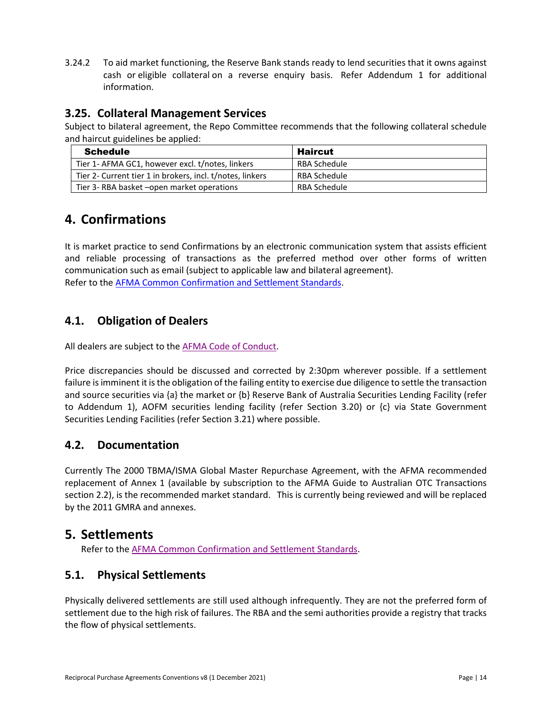3.24.2 To aid market functioning, the Reserve Bank stands ready to lend securities that it owns against cash or eligible collateral on a reverse enquiry basis. Refer Addendum 1 for additional information.

## <span id="page-13-0"></span>**3.25. Collateral Management Services**

Subject to bilateral agreement, the Repo Committee recommends that the following collateral schedule and haircut guidelines be applied:

| <b>Schedule</b>                                           | <b>Haircut</b> |
|-----------------------------------------------------------|----------------|
| Tier 1- AFMA GC1, however excl. t/notes, linkers          | RBA Schedule   |
| Tier 2- Current tier 1 in brokers, incl. t/notes, linkers | RBA Schedule   |
| Tier 3- RBA basket - open market operations               | RBA Schedule   |

# <span id="page-13-1"></span>**4. Confirmations**

It is market practice to send Confirmations by an electronic communication system that assists efficient and reliable processing of transactions as the preferred method over other forms of written communication such as email (subject to applicable law and bilateral agreement). Refer to the [AFMA Common Confirmation and Settlement Standards.](https://afma.com.au/standards/market-conventions/Australian%20Common%20Confirmation%20and%20Settlement%20Standards.pdf)

# <span id="page-13-2"></span>**4.1. Obligation of Dealers**

All dealers are subject to the [AFMA Code of Conduct.](http://www.afma.com.au/code-of-conduct)

Price discrepancies should be discussed and corrected by 2:30pm wherever possible. If a settlement failure is imminent it is the obligation of the failing entity to exercise due diligence to settle the transaction and source securities via {a} the market or {b} Reserve Bank of Australia Securities Lending Facility (refer to Addendum 1), AOFM securities lending facility (refer Section 3.20) or {c} via State Government Securities Lending Facilities (refer Section 3.21) where possible.

# <span id="page-13-3"></span>**4.2. Documentation**

Currently The 2000 TBMA/ISMA Global Master Repurchase Agreement, with the AFMA recommended replacement of Annex 1 (available by subscription to the AFMA Guide to Australian OTC Transactions section 2.2), is the recommended market standard. This is currently being reviewed and will be replaced by the 2011 GMRA and annexes.

# <span id="page-13-4"></span>**5. Settlements**

Refer to the [AFMA Common Confirmation and Settlement Standards.](https://afma.com.au/standards/market-conventions/Australian%20Common%20Confirmation%20and%20Settlement%20Standards.pdf)

# <span id="page-13-5"></span>**5.1. Physical Settlements**

Physically delivered settlements are still used although infrequently. They are not the preferred form of settlement due to the high risk of failures. The RBA and the semi authorities provide a registry that tracks the flow of physical settlements.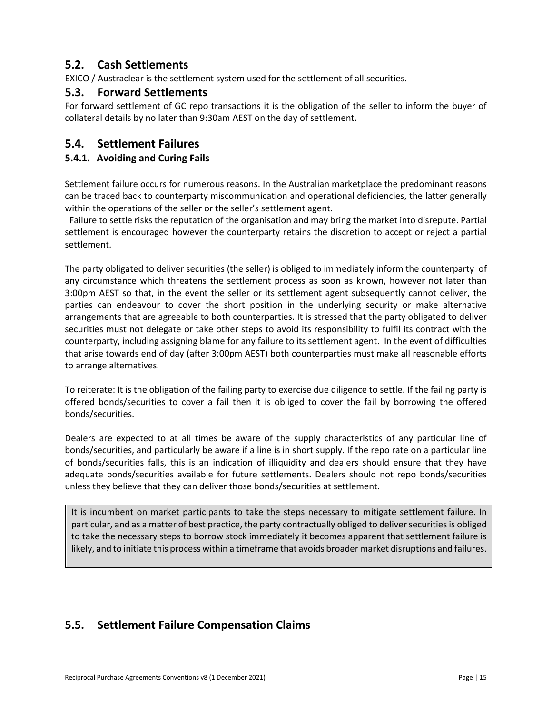# <span id="page-14-0"></span>**5.2. Cash Settlements**

EXICO / Austraclear is the settlement system used for the settlement of all securities.

### <span id="page-14-1"></span>**5.3. Forward Settlements**

For forward settlement of GC repo transactions it is the obligation of the seller to inform the buyer of collateral details by no later than 9:30am AEST on the day of settlement.

### <span id="page-14-2"></span>**5.4. Settlement Failures**

#### <span id="page-14-3"></span>**5.4.1. Avoiding and Curing Fails**

Settlement failure occurs for numerous reasons. In the Australian marketplace the predominant reasons can be traced back to counterparty miscommunication and operational deficiencies, the latter generally within the operations of the seller or the seller's settlement agent.

Failure to settle risks the reputation of the organisation and may bring the market into disrepute. Partial settlement is encouraged however the counterparty retains the discretion to accept or reject a partial settlement.

The party obligated to deliver securities (the seller) is obliged to immediately inform the counterparty of any circumstance which threatens the settlement process as soon as known, however not later than 3:00pm AEST so that, in the event the seller or its settlement agent subsequently cannot deliver, the parties can endeavour to cover the short position in the underlying security or make alternative arrangements that are agreeable to both counterparties. It is stressed that the party obligated to deliver securities must not delegate or take other steps to avoid its responsibility to fulfil its contract with the counterparty, including assigning blame for any failure to its settlement agent. In the event of difficulties that arise towards end of day (after 3:00pm AEST) both counterparties must make all reasonable efforts to arrange alternatives.

To reiterate: It is the obligation of the failing party to exercise due diligence to settle. If the failing party is offered bonds/securities to cover a fail then it is obliged to cover the fail by borrowing the offered bonds/securities.

Dealers are expected to at all times be aware of the supply characteristics of any particular line of bonds/securities, and particularly be aware if a line is in short supply. If the repo rate on a particular line of bonds/securities falls, this is an indication of illiquidity and dealers should ensure that they have adequate bonds/securities available for future settlements. Dealers should not repo bonds/securities unless they believe that they can deliver those bonds/securities at settlement.

It is incumbent on market participants to take the steps necessary to mitigate settlement failure. In particular, and as a matter of best practice, the party contractually obliged to deliver securities is obliged to take the necessary steps to borrow stock immediately it becomes apparent that settlement failure is likely, and to initiate this process within a timeframe that avoids broader market disruptions and failures.

# <span id="page-14-4"></span>**5.5. Settlement Failure Compensation Claims**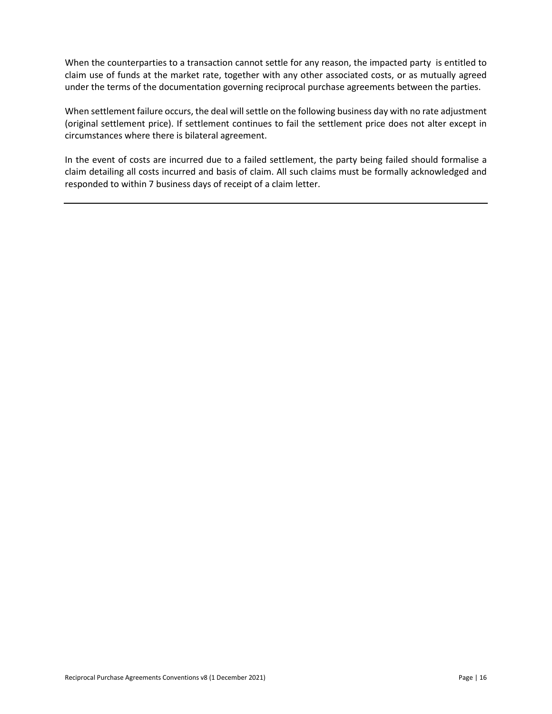When the counterparties to a transaction cannot settle for any reason, the impacted party is entitled to claim use of funds at the market rate, together with any other associated costs, or as mutually agreed under the terms of the documentation governing reciprocal purchase agreements between the parties.

When settlement failure occurs, the deal will settle on the following business day with no rate adjustment (original settlement price). If settlement continues to fail the settlement price does not alter except in circumstances where there is bilateral agreement.

In the event of costs are incurred due to a failed settlement, the party being failed should formalise a claim detailing all costs incurred and basis of claim. All such claims must be formally acknowledged and responded to within 7 business days of receipt of a claim letter.